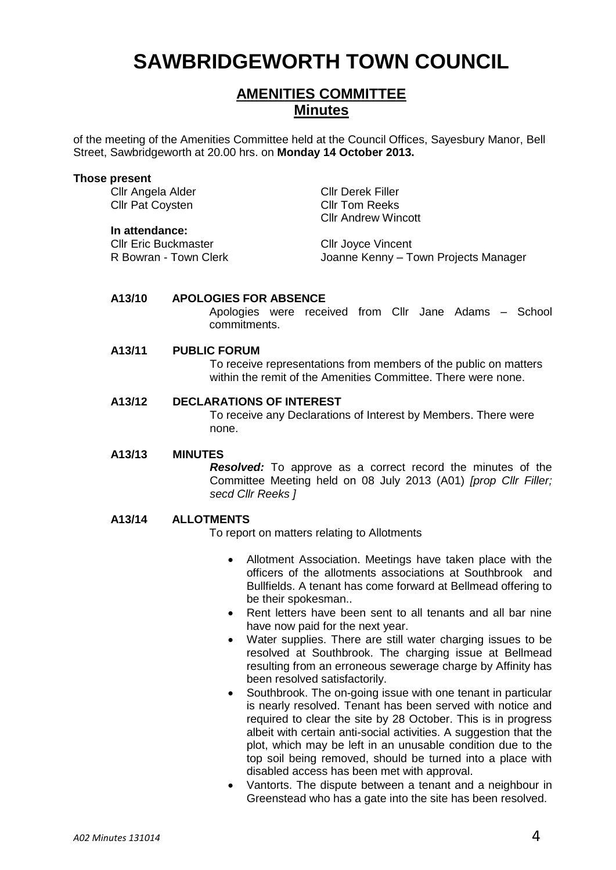# **SAWBRIDGEWORTH TOWN COUNCIL**

# **AMENITIES COMMITTEE Minutes**

of the meeting of the Amenities Committee held at the Council Offices, Sayesbury Manor, Bell Street, Sawbridgeworth at 20.00 hrs. on **Monday 14 October 2013.**

#### **Those present**

Cllr Angela Alder Cllr Derek Filler Cllr Pat Coysten Cllr Tom Reeks

#### **In attendance:**

Cllr Eric Buckmaster Cllr Joyce Vincent<br>
R Bowran - Town Clerk<br>
Clerk Cleanne Kenny – Town

Cllr Andrew Wincott

Joanne Kenny – Town Projects Manager

## **A13/10 APOLOGIES FOR ABSENCE**

Apologies were received from Cllr Jane Adams – School commitments.

## **A13/11 PUBLIC FORUM**

To receive representations from members of the public on matters within the remit of the Amenities Committee. There were none.

# **A13/12 DECLARATIONS OF INTEREST**

To receive any Declarations of Interest by Members. There were none.

## **A13/13 MINUTES**

*Resolved:* To approve as a correct record the minutes of the Committee Meeting held on 08 July 2013 (A01) *[prop Cllr Filler; secd Cllr Reeks ]*

## **A13/14 ALLOTMENTS**

To report on matters relating to Allotments

- Allotment Association. Meetings have taken place with the officers of the allotments associations at Southbrook and Bullfields. A tenant has come forward at Bellmead offering to be their spokesman..
- Rent letters have been sent to all tenants and all bar nine have now paid for the next year.
- Water supplies. There are still water charging issues to be resolved at Southbrook. The charging issue at Bellmead resulting from an erroneous sewerage charge by Affinity has been resolved satisfactorily.
- Southbrook. The on-going issue with one tenant in particular is nearly resolved. Tenant has been served with notice and required to clear the site by 28 October. This is in progress albeit with certain anti-social activities. A suggestion that the plot, which may be left in an unusable condition due to the top soil being removed, should be turned into a place with disabled access has been met with approval.
- Vantorts. The dispute between a tenant and a neighbour in Greenstead who has a gate into the site has been resolved.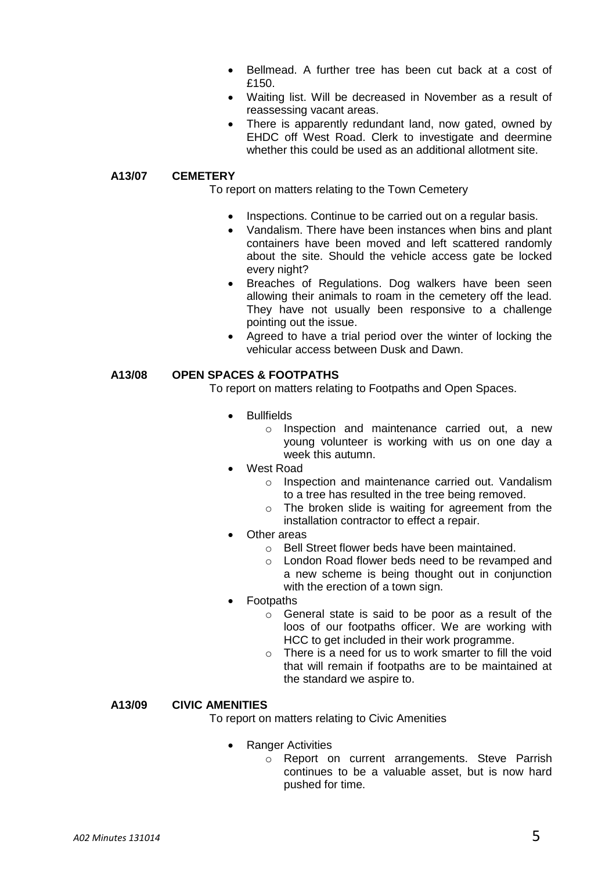- Bellmead. A further tree has been cut back at a cost of £150.
- Waiting list. Will be decreased in November as a result of reassessing vacant areas.
- There is apparently redundant land, now gated, owned by EHDC off West Road. Clerk to investigate and deermine whether this could be used as an additional allotment site.

# **A13/07 CEMETERY**

To report on matters relating to the Town Cemetery

- Inspections. Continue to be carried out on a regular basis.
- Vandalism. There have been instances when bins and plant containers have been moved and left scattered randomly about the site. Should the vehicle access gate be locked every night?
- Breaches of Regulations. Dog walkers have been seen allowing their animals to roam in the cemetery off the lead. They have not usually been responsive to a challenge pointing out the issue.
- Agreed to have a trial period over the winter of locking the vehicular access between Dusk and Dawn.

# **A13/08 OPEN SPACES & FOOTPATHS**

To report on matters relating to Footpaths and Open Spaces.

- Bullfields
	- o Inspection and maintenance carried out, a new young volunteer is working with us on one day a week this autumn.
	- West Road
		- o Inspection and maintenance carried out. Vandalism to a tree has resulted in the tree being removed.
		- o The broken slide is waiting for agreement from the installation contractor to effect a repair.
- Other areas
	- o Bell Street flower beds have been maintained.
	- o London Road flower beds need to be revamped and a new scheme is being thought out in conjunction with the erection of a town sign.
- Footpaths
	- o General state is said to be poor as a result of the loos of our footpaths officer. We are working with HCC to get included in their work programme.
	- $\circ$  There is a need for us to work smarter to fill the void that will remain if footpaths are to be maintained at the standard we aspire to.

# **A13/09 CIVIC AMENITIES**

To report on matters relating to Civic Amenities

- Ranger Activities
	- o Report on current arrangements. Steve Parrish continues to be a valuable asset, but is now hard pushed for time.